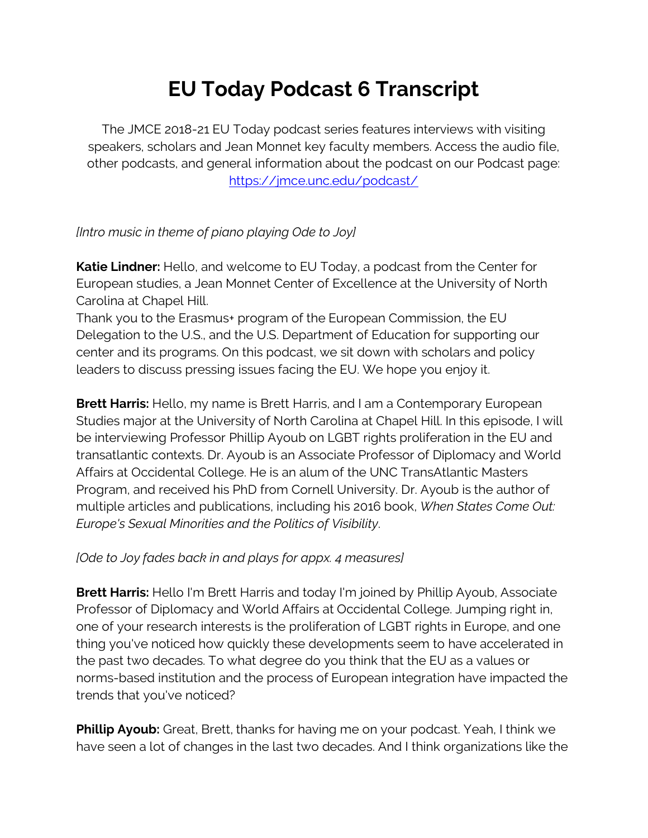## **EU Today Podcast 6 Transcript**

The JMCE 2018-21 EU Today podcast series features interviews with visiting speakers, scholars and Jean Monnet key faculty members. Access the audio file, other podcasts, and general information about the podcast on our Podcast page: https://jmce.unc.edu/podcast/

## *[Intro music in theme of piano playing Ode to Joy]*

**Katie Lindner:** Hello, and welcome to EU Today, a podcast from the Center for European studies, a Jean Monnet Center of Excellence at the University of North Carolina at Chapel Hill.

Thank you to the Erasmus+ program of the European Commission, the EU Delegation to the U.S., and the U.S. Department of Education for supporting our center and its programs. On this podcast, we sit down with scholars and policy leaders to discuss pressing issues facing the EU. We hope you enjoy it.

**Brett Harris:** Hello, my name is Brett Harris, and I am a Contemporary European Studies major at the University of North Carolina at Chapel Hill. In this episode, I will be interviewing Professor Phillip Ayoub on LGBT rights proliferation in the EU and transatlantic contexts. Dr. Ayoub is an Associate Professor of Diplomacy and World Affairs at Occidental College. He is an alum of the UNC TransAtlantic Masters Program, and received his PhD from Cornell University. Dr. Ayoub is the author of multiple articles and publications, including his 2016 book, *When States Come Out: Europe's Sexual Minorities and the Politics of Visibility*.

## *[Ode to Joy fades back in and plays for appx. 4 measures]*

**Brett Harris:** Hello I'm Brett Harris and today I'm joined by Phillip Ayoub, Associate Professor of Diplomacy and World Affairs at Occidental College. Jumping right in, one of your research interests is the proliferation of LGBT rights in Europe, and one thing you've noticed how quickly these developments seem to have accelerated in the past two decades. To what degree do you think that the EU as a values or norms-based institution and the process of European integration have impacted the trends that you've noticed?

**Phillip Ayoub:** Great, Brett, thanks for having me on your podcast. Yeah, I think we have seen a lot of changes in the last two decades. And I think organizations like the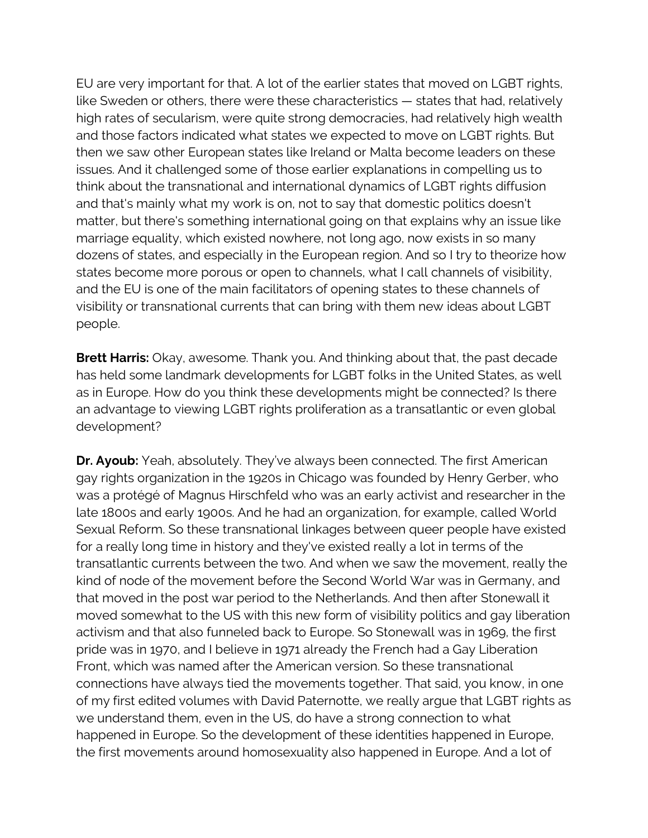EU are very important for that. A lot of the earlier states that moved on LGBT rights, like Sweden or others, there were these characteristics — states that had, relatively high rates of secularism, were quite strong democracies, had relatively high wealth and those factors indicated what states we expected to move on LGBT rights. But then we saw other European states like Ireland or Malta become leaders on these issues. And it challenged some of those earlier explanations in compelling us to think about the transnational and international dynamics of LGBT rights diffusion and that's mainly what my work is on, not to say that domestic politics doesn't matter, but there's something international going on that explains why an issue like marriage equality, which existed nowhere, not long ago, now exists in so many dozens of states, and especially in the European region. And so I try to theorize how states become more porous or open to channels, what I call channels of visibility, and the EU is one of the main facilitators of opening states to these channels of visibility or transnational currents that can bring with them new ideas about LGBT people.

**Brett Harris:** Okay, awesome. Thank you. And thinking about that, the past decade has held some landmark developments for LGBT folks in the United States, as well as in Europe. How do you think these developments might be connected? Is there an advantage to viewing LGBT rights proliferation as a transatlantic or even global development?

**Dr. Ayoub:** Yeah, absolutely. They've always been connected. The first American gay rights organization in the 1920s in Chicago was founded by Henry Gerber, who was a protégé of Magnus Hirschfeld who was an early activist and researcher in the late 1800s and early 1900s. And he had an organization, for example, called World Sexual Reform. So these transnational linkages between queer people have existed for a really long time in history and they've existed really a lot in terms of the transatlantic currents between the two. And when we saw the movement, really the kind of node of the movement before the Second World War was in Germany, and that moved in the post war period to the Netherlands. And then after Stonewall it moved somewhat to the US with this new form of visibility politics and gay liberation activism and that also funneled back to Europe. So Stonewall was in 1969, the first pride was in 1970, and I believe in 1971 already the French had a Gay Liberation Front, which was named after the American version. So these transnational connections have always tied the movements together. That said, you know, in one of my first edited volumes with David Paternotte, we really argue that LGBT rights as we understand them, even in the US, do have a strong connection to what happened in Europe. So the development of these identities happened in Europe, the first movements around homosexuality also happened in Europe. And a lot of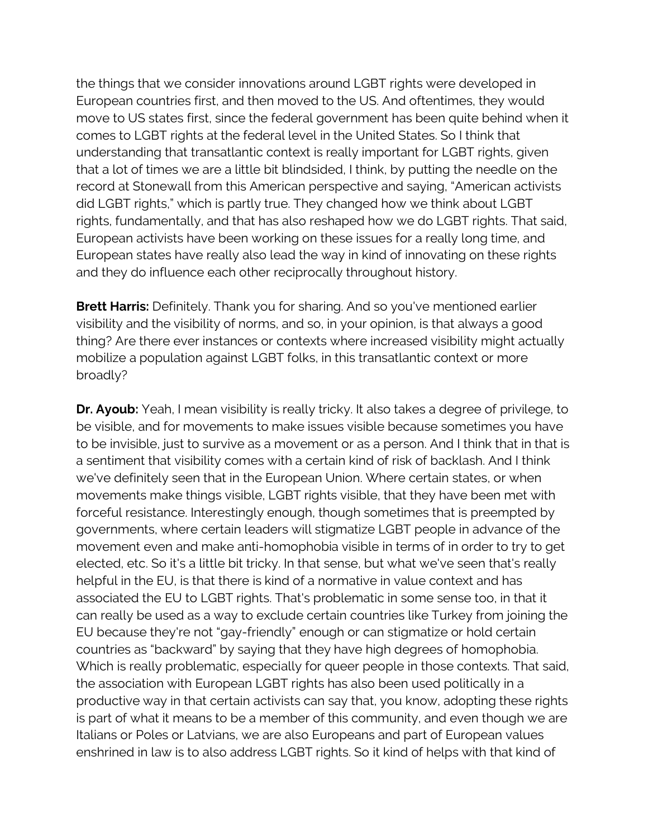the things that we consider innovations around LGBT rights were developed in European countries first, and then moved to the US. And oftentimes, they would move to US states first, since the federal government has been quite behind when it comes to LGBT rights at the federal level in the United States. So I think that understanding that transatlantic context is really important for LGBT rights, given that a lot of times we are a little bit blindsided, I think, by putting the needle on the record at Stonewall from this American perspective and saying, "American activists did LGBT rights," which is partly true. They changed how we think about LGBT rights, fundamentally, and that has also reshaped how we do LGBT rights. That said, European activists have been working on these issues for a really long time, and European states have really also lead the way in kind of innovating on these rights and they do influence each other reciprocally throughout history.

**Brett Harris:** Definitely. Thank you for sharing. And so you've mentioned earlier visibility and the visibility of norms, and so, in your opinion, is that always a good thing? Are there ever instances or contexts where increased visibility might actually mobilize a population against LGBT folks, in this transatlantic context or more broadly?

**Dr. Ayoub:** Yeah, I mean visibility is really tricky. It also takes a degree of privilege, to be visible, and for movements to make issues visible because sometimes you have to be invisible, just to survive as a movement or as a person. And I think that in that is a sentiment that visibility comes with a certain kind of risk of backlash. And I think we've definitely seen that in the European Union. Where certain states, or when movements make things visible, LGBT rights visible, that they have been met with forceful resistance. Interestingly enough, though sometimes that is preempted by governments, where certain leaders will stigmatize LGBT people in advance of the movement even and make anti-homophobia visible in terms of in order to try to get elected, etc. So it's a little bit tricky. In that sense, but what we've seen that's really helpful in the EU, is that there is kind of a normative in value context and has associated the EU to LGBT rights. That's problematic in some sense too, in that it can really be used as a way to exclude certain countries like Turkey from joining the EU because they're not "gay-friendly" enough or can stigmatize or hold certain countries as "backward" by saying that they have high degrees of homophobia. Which is really problematic, especially for queer people in those contexts. That said, the association with European LGBT rights has also been used politically in a productive way in that certain activists can say that, you know, adopting these rights is part of what it means to be a member of this community, and even though we are Italians or Poles or Latvians, we are also Europeans and part of European values enshrined in law is to also address LGBT rights. So it kind of helps with that kind of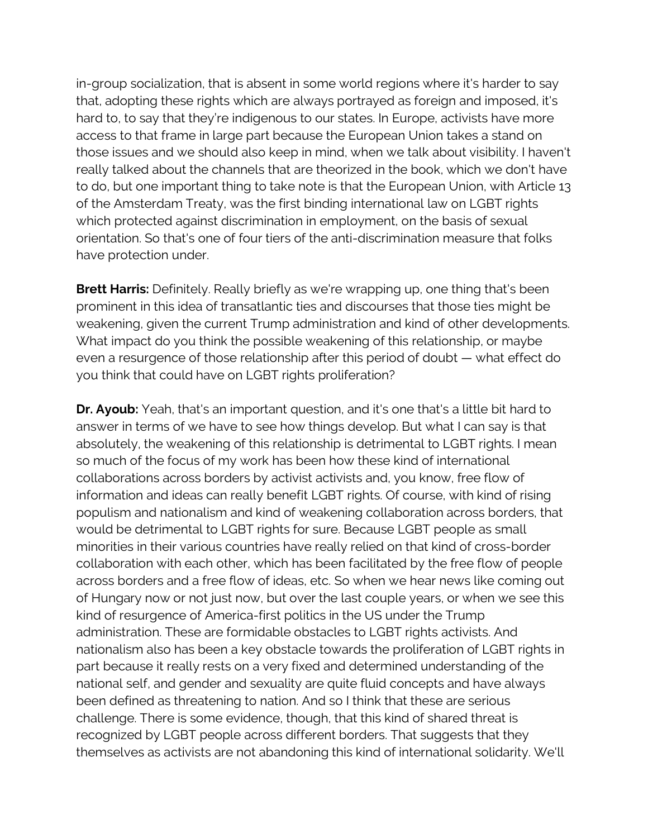in-group socialization, that is absent in some world regions where it's harder to say that, adopting these rights which are always portrayed as foreign and imposed, it's hard to, to say that they're indigenous to our states. In Europe, activists have more access to that frame in large part because the European Union takes a stand on those issues and we should also keep in mind, when we talk about visibility. I haven't really talked about the channels that are theorized in the book, which we don't have to do, but one important thing to take note is that the European Union, with Article 13 of the Amsterdam Treaty, was the first binding international law on LGBT rights which protected against discrimination in employment, on the basis of sexual orientation. So that's one of four tiers of the anti-discrimination measure that folks have protection under.

**Brett Harris:** Definitely. Really briefly as we're wrapping up, one thing that's been prominent in this idea of transatlantic ties and discourses that those ties might be weakening, given the current Trump administration and kind of other developments. What impact do you think the possible weakening of this relationship, or maybe even a resurgence of those relationship after this period of doubt — what effect do you think that could have on LGBT rights proliferation?

**Dr. Ayoub:** Yeah, that's an important question, and it's one that's a little bit hard to answer in terms of we have to see how things develop. But what I can say is that absolutely, the weakening of this relationship is detrimental to LGBT rights. I mean so much of the focus of my work has been how these kind of international collaborations across borders by activist activists and, you know, free flow of information and ideas can really benefit LGBT rights. Of course, with kind of rising populism and nationalism and kind of weakening collaboration across borders, that would be detrimental to LGBT rights for sure. Because LGBT people as small minorities in their various countries have really relied on that kind of cross-border collaboration with each other, which has been facilitated by the free flow of people across borders and a free flow of ideas, etc. So when we hear news like coming out of Hungary now or not just now, but over the last couple years, or when we see this kind of resurgence of America-first politics in the US under the Trump administration. These are formidable obstacles to LGBT rights activists. And nationalism also has been a key obstacle towards the proliferation of LGBT rights in part because it really rests on a very fixed and determined understanding of the national self, and gender and sexuality are quite fluid concepts and have always been defined as threatening to nation. And so I think that these are serious challenge. There is some evidence, though, that this kind of shared threat is recognized by LGBT people across different borders. That suggests that they themselves as activists are not abandoning this kind of international solidarity. We'll